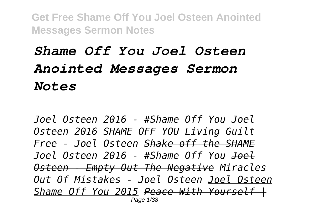## *Shame Off You Joel Osteen Anointed Messages Sermon Notes*

*Joel Osteen 2016 - #Shame Off You Joel Osteen 2016 SHAME OFF YOU Living Guilt Free - Joel Osteen Shake off the SHAME Joel Osteen 2016 - #Shame Off You Joel Osteen - Empty Out The Negative Miracles Out Of Mistakes - Joel Osteen Joel Osteen Shame Off You 2015 Peace With Yourself |* Page 1/38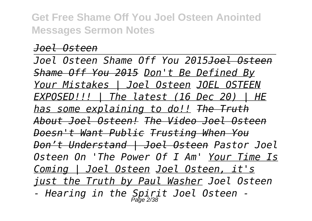## *Joel Osteen*

*Joel Osteen Shame Off You 2015Joel Osteen Shame Off You 2015 Don't Be Defined By Your Mistakes | Joel Osteen JOEL OSTEEN EXPOSED!!! | The latest (16 Dec 20) | HE has some explaining to do!! The Truth About Joel Osteen! The Video Joel Osteen Doesn't Want Public Trusting When You Don't Understand | Joel Osteen Pastor Joel Osteen On 'The Power Of I Am' Your Time Is Coming | Joel Osteen Joel Osteen, it's just the Truth by Paul Washer Joel Osteen - Hearing in the Spirit Joel Osteen -* Page 2/38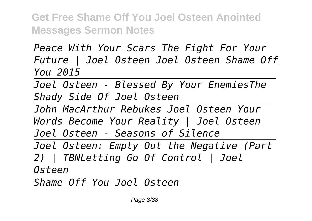*Peace With Your Scars The Fight For Your Future | Joel Osteen Joel Osteen Shame Off You 2015*

*Joel Osteen - Blessed By Your EnemiesThe Shady Side Of Joel Osteen*

*John MacArthur Rebukes Joel Osteen Your Words Become Your Reality | Joel Osteen Joel Osteen - Seasons of Silence* 

*Joel Osteen: Empty Out the Negative (Part 2) | TBNLetting Go Of Control | Joel Osteen*

*Shame Off You Joel Osteen*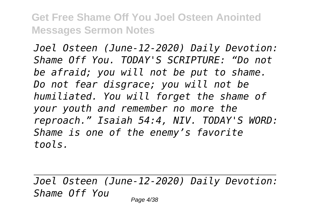*Joel Osteen (June-12-2020) Daily Devotion: Shame Off You. TODAY'S SCRIPTURE: "Do not be afraid; you will not be put to shame. Do not fear disgrace; you will not be humiliated. You will forget the shame of your youth and remember no more the reproach." Isaiah 54:4, NIV. TODAY'S WORD: Shame is one of the enemy's favorite tools.*

*Joel Osteen (June-12-2020) Daily Devotion: Shame Off You*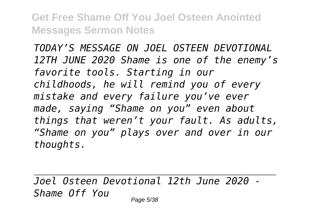*TODAY'S MESSAGE ON JOEL OSTEEN DEVOTIONAL 12TH JUNE 2020 Shame is one of the enemy's favorite tools. Starting in our childhoods, he will remind you of every mistake and every failure you've ever made, saying "Shame on you" even about things that weren't your fault. As adults, "Shame on you" plays over and over in our thoughts.*

*Joel Osteen Devotional 12th June 2020 - Shame Off You*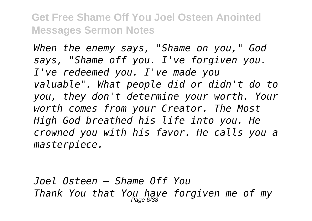*When the enemy says, "Shame on you," God says, "Shame off you. I've forgiven you. I've redeemed you. I've made you valuable". What people did or didn't do to you, they don't determine your worth. Your worth comes from your Creator. The Most High God breathed his life into you. He crowned you with his favor. He calls you a masterpiece.*

*Joel Osteen — Shame Off You Thank You that You have forgiven me of my* Page 6/38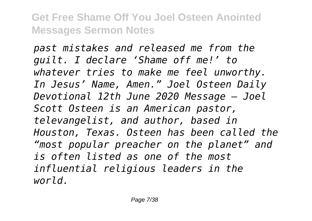*past mistakes and released me from the guilt. I declare 'Shame off me!' to whatever tries to make me feel unworthy. In Jesus' Name, Amen." Joel Osteen Daily Devotional 12th June 2020 Message – Joel Scott Osteen is an American pastor, televangelist, and author, based in Houston, Texas. Osteen has been called the "most popular preacher on the planet" and is often listed as one of the most influential religious leaders in the world.*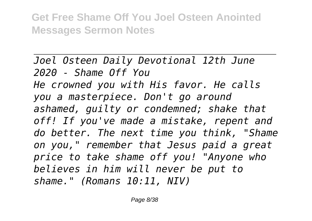*Joel Osteen Daily Devotional 12th June 2020 - Shame Off You He crowned you with His favor. He calls you a masterpiece. Don't go around ashamed, guilty or condemned; shake that off! If you've made a mistake, repent and do better. The next time you think, "Shame on you," remember that Jesus paid a great price to take shame off you! "Anyone who believes in him will never be put to shame." (Romans 10:11, NIV)*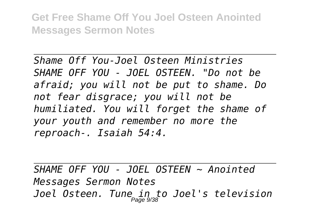*Shame Off You-Joel Osteen Ministries SHAME OFF YOU - JOEL OSTEEN. "Do not be afraid; you will not be put to shame. Do not fear disgrace; you will not be humiliated. You will forget the shame of your youth and remember no more the reproach-. Isaiah 54:4.*

*SHAME OFF YOU - JOEL OSTEEN ~ Anointed Messages Sermon Notes Joel Osteen. Tune in to Joel's television* Page 9/38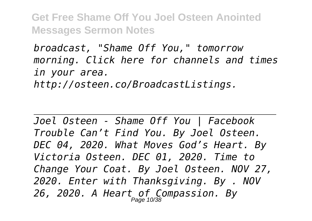*broadcast, "Shame Off You," tomorrow morning. Click here for channels and times in your area. http://osteen.co/BroadcastListings.*

*Joel Osteen - Shame Off You | Facebook Trouble Can't Find You. By Joel Osteen. DEC 04, 2020. What Moves God's Heart. By Victoria Osteen. DEC 01, 2020. Time to Change Your Coat. By Joel Osteen. NOV 27, 2020. Enter with Thanksgiving. By . NOV 26, 2020. A Heart of Compassion. By* Page 10/38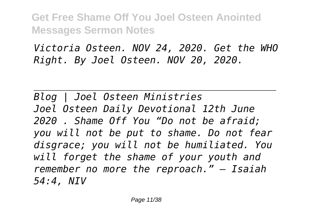*Victoria Osteen. NOV 24, 2020. Get the WHO Right. By Joel Osteen. NOV 20, 2020.*

*Blog | Joel Osteen Ministries Joel Osteen Daily Devotional 12th June 2020 . Shame Off You "Do not be afraid; you will not be put to shame. Do not fear disgrace; you will not be humiliated. You will forget the shame of your youth and remember no more the reproach." – Isaiah 54:4, NIV*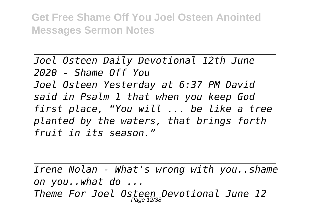*Joel Osteen Daily Devotional 12th June 2020 - Shame Off You Joel Osteen Yesterday at 6:37 PM David said in Psalm 1 that when you keep God first place, "You will ... be like a tree planted by the waters, that brings forth fruit in its season."*

*Irene Nolan - What's wrong with you..shame on you..what do ... Theme For Joel Osteen Devotional June 12* Page 12/38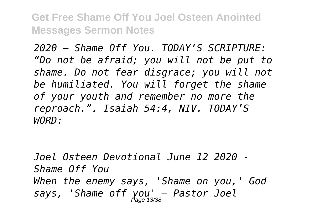*2020 – Shame Off You. TODAY'S SCRIPTURE: "Do not be afraid; you will not be put to shame. Do not fear disgrace; you will not be humiliated. You will forget the shame of your youth and remember no more the reproach.". Isaiah 54:4, NIV. TODAY'S WORD:*

*Joel Osteen Devotional June 12 2020 - Shame Off You When the enemy says, 'Shame on you,' God says, 'Shame off you' — Pastor Joel* Page 13/38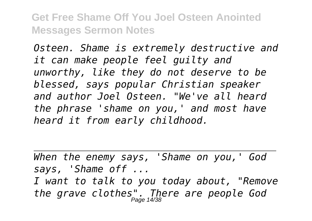*Osteen. Shame is extremely destructive and it can make people feel guilty and unworthy, like they do not deserve to be blessed, says popular Christian speaker and author Joel Osteen. "We've all heard the phrase 'shame on you,' and most have heard it from early childhood.*

*When the enemy says, 'Shame on you,' God says, 'Shame off ... I want to talk to you today about, "Remove the grave clothes". There are people God* Page 14/38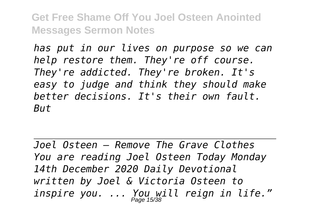*has put in our lives on purpose so we can help restore them. They're off course. They're addicted. They're broken. It's easy to judge and think they should make better decisions. It's their own fault. But*

*Joel Osteen — Remove The Grave Clothes You are reading Joel Osteen Today Monday 14th December 2020 Daily Devotional written by Joel & Victoria Osteen to inspire you. ... You will reign in life."* Page 15/38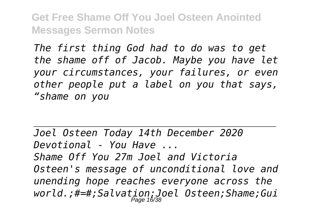*The first thing God had to do was to get the shame off of Jacob. Maybe you have let your circumstances, your failures, or even other people put a label on you that says, "shame on you*

*Joel Osteen Today 14th December 2020 Devotional - You Have ... Shame Off You 27m Joel and Victoria Osteen's message of unconditional love and unending hope reaches everyone across the world.;#=#;Salvation;Joel Osteen;Shame;Gui* Page 16/38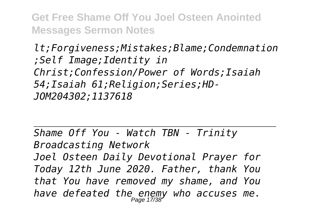*lt;Forgiveness;Mistakes;Blame;Condemnation ;Self Image;Identity in Christ;Confession/Power of Words;Isaiah 54;Isaiah 61;Religion;Series;HD-JOM204302;1137618*

*Shame Off You - Watch TBN - Trinity Broadcasting Network Joel Osteen Daily Devotional Prayer for Today 12th June 2020. Father, thank You that You have removed my shame, and You have defeated the enemy who accuses me.* Page 17/38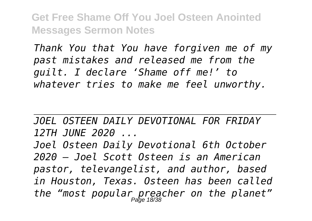*Thank You that You have forgiven me of my past mistakes and released me from the guilt. I declare 'Shame off me!' to whatever tries to make me feel unworthy.*

*JOEL OSTEEN DAILY DEVOTIONAL FOR FRIDAY 12TH JUNE 2020 ...*

*Joel Osteen Daily Devotional 6th October 2020 – Joel Scott Osteen is an American pastor, televangelist, and author, based in Houston, Texas. Osteen has been called the "most popular preacher on the planet"* Page 18/38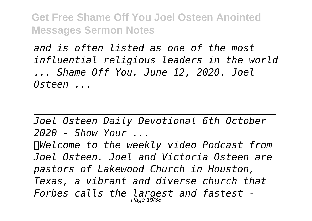*and is often listed as one of the most influential religious leaders in the world ... Shame Off You. June 12, 2020. Joel Osteen ...*

*Joel Osteen Daily Devotional 6th October 2020 - Show Your ... Welcome to the weekly video Podcast from Joel Osteen. Joel and Victoria Osteen are pastors of Lakewood Church in Houston, Texas, a vibrant and diverse church that Forbes calls the largest and fastest -* Page 19/38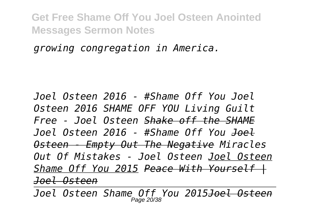*growing congregation in America.*

*Joel Osteen 2016 - #Shame Off You Joel Osteen 2016 SHAME OFF YOU Living Guilt Free - Joel Osteen Shake off the SHAME Joel Osteen 2016 - #Shame Off You Joel Osteen - Empty Out The Negative Miracles Out Of Mistakes - Joel Osteen Joel Osteen Shame Off You 2015 Peace With Yourself | Joel Osteen*

*Joel Osteen Shame Off You 2015Joel Osteen* Page 20/38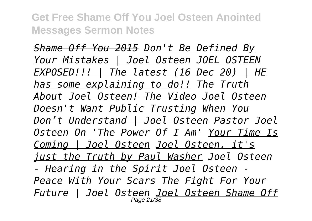*Shame Off You 2015 Don't Be Defined By Your Mistakes | Joel Osteen JOEL OSTEEN EXPOSED!!! | The latest (16 Dec 20) | HE has some explaining to do!! The Truth About Joel Osteen! The Video Joel Osteen Doesn't Want Public Trusting When You Don't Understand | Joel Osteen Pastor Joel Osteen On 'The Power Of I Am' Your Time Is Coming | Joel Osteen Joel Osteen, it's just the Truth by Paul Washer Joel Osteen - Hearing in the Spirit Joel Osteen - Peace With Your Scars The Fight For Your Future | Joel Osteen Joel Osteen Shame Off* Page 21/38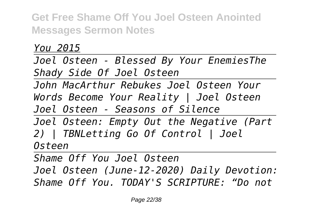*You 2015*

*Joel Osteen - Blessed By Your EnemiesThe Shady Side Of Joel Osteen*

*John MacArthur Rebukes Joel Osteen Your Words Become Your Reality | Joel Osteen Joel Osteen - Seasons of Silence* 

*Joel Osteen: Empty Out the Negative (Part 2) | TBNLetting Go Of Control | Joel Osteen*

*Shame Off You Joel Osteen Joel Osteen (June-12-2020) Daily Devotion: Shame Off You. TODAY'S SCRIPTURE: "Do not*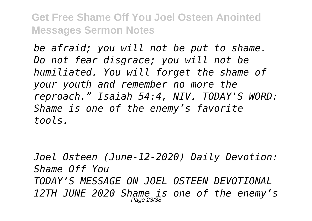*be afraid; you will not be put to shame. Do not fear disgrace; you will not be humiliated. You will forget the shame of your youth and remember no more the reproach." Isaiah 54:4, NIV. TODAY'S WORD: Shame is one of the enemy's favorite tools.*

*Joel Osteen (June-12-2020) Daily Devotion: Shame Off You TODAY'S MESSAGE ON JOEL OSTEEN DEVOTIONAL 12TH JUNE 2020 Shame is one of the enemy's* Page 23/38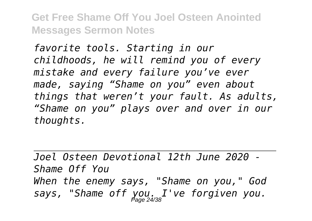*favorite tools. Starting in our childhoods, he will remind you of every mistake and every failure you've ever made, saying "Shame on you" even about things that weren't your fault. As adults, "Shame on you" plays over and over in our thoughts.*

*Joel Osteen Devotional 12th June 2020 - Shame Off You When the enemy says, "Shame on you," God says, "Shame off you. I've forgiven you.* Page 24/38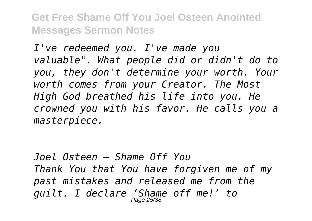*I've redeemed you. I've made you valuable". What people did or didn't do to you, they don't determine your worth. Your worth comes from your Creator. The Most High God breathed his life into you. He crowned you with his favor. He calls you a masterpiece.*

*Joel Osteen — Shame Off You Thank You that You have forgiven me of my past mistakes and released me from the guilt. I declare 'Shame off me!' to* Page 25/38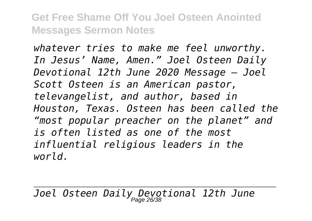*whatever tries to make me feel unworthy. In Jesus' Name, Amen." Joel Osteen Daily Devotional 12th June 2020 Message – Joel Scott Osteen is an American pastor, televangelist, and author, based in Houston, Texas. Osteen has been called the "most popular preacher on the planet" and is often listed as one of the most influential religious leaders in the world.*

*Joel Osteen Daily Devotional 12th June* Page 26/38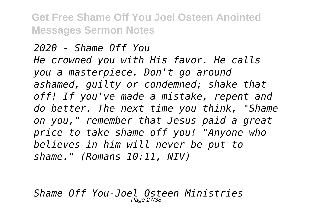## *2020 - Shame Off You He crowned you with His favor. He calls you a masterpiece. Don't go around ashamed, guilty or condemned; shake that off! If you've made a mistake, repent and do better. The next time you think, "Shame on you," remember that Jesus paid a great price to take shame off you! "Anyone who believes in him will never be put to shame." (Romans 10:11, NIV)*

*Shame Off You-Joel Osteen Ministries* Page 27/38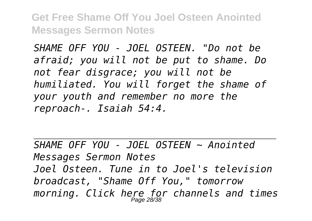*SHAME OFF YOU - JOEL OSTEEN. "Do not be afraid; you will not be put to shame. Do not fear disgrace; you will not be humiliated. You will forget the shame of your youth and remember no more the reproach-. Isaiah 54:4.*

*SHAME OFF YOU - JOEL OSTEEN ~ Anointed Messages Sermon Notes Joel Osteen. Tune in to Joel's television broadcast, "Shame Off You," tomorrow morning. Click here for channels and times* Page 28/38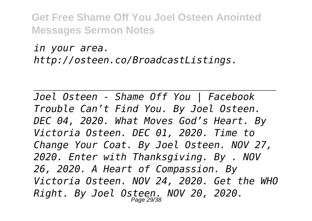*in your area. http://osteen.co/BroadcastListings.*

*Joel Osteen - Shame Off You | Facebook Trouble Can't Find You. By Joel Osteen. DEC 04, 2020. What Moves God's Heart. By Victoria Osteen. DEC 01, 2020. Time to Change Your Coat. By Joel Osteen. NOV 27, 2020. Enter with Thanksgiving. By . NOV 26, 2020. A Heart of Compassion. By Victoria Osteen. NOV 24, 2020. Get the WHO Right. By Joel Osteen. NOV 20, 2020.* Page 29/38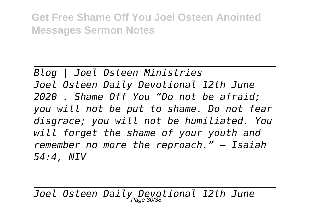*Blog | Joel Osteen Ministries Joel Osteen Daily Devotional 12th June 2020 . Shame Off You "Do not be afraid; you will not be put to shame. Do not fear disgrace; you will not be humiliated. You will forget the shame of your youth and remember no more the reproach." – Isaiah 54:4, NIV*

*Joel Osteen Daily Devotional 12th June* Page 30/38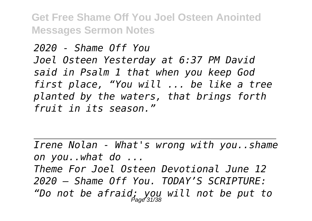*2020 - Shame Off You Joel Osteen Yesterday at 6:37 PM David said in Psalm 1 that when you keep God first place, "You will ... be like a tree planted by the waters, that brings forth fruit in its season."*

*Irene Nolan - What's wrong with you..shame on you..what do ...*

*Theme For Joel Osteen Devotional June 12 2020 – Shame Off You. TODAY'S SCRIPTURE: "Do not be afraid; you will not be put to* Page 31/38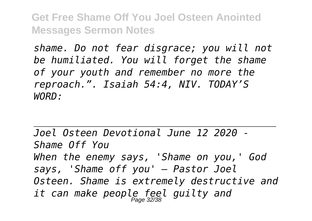*shame. Do not fear disgrace; you will not be humiliated. You will forget the shame of your youth and remember no more the reproach.". Isaiah 54:4, NIV. TODAY'S WORD:*

*Joel Osteen Devotional June 12 2020 - Shame Off You When the enemy says, 'Shame on you,' God says, 'Shame off you' — Pastor Joel Osteen. Shame is extremely destructive and it can make people feel guilty and* Page 32/38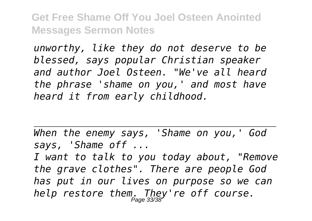*unworthy, like they do not deserve to be blessed, says popular Christian speaker and author Joel Osteen. "We've all heard the phrase 'shame on you,' and most have heard it from early childhood.*

*When the enemy says, 'Shame on you,' God says, 'Shame off ...*

*I want to talk to you today about, "Remove the grave clothes". There are people God has put in our lives on purpose so we can help restore them. They're off course.* Page 33/38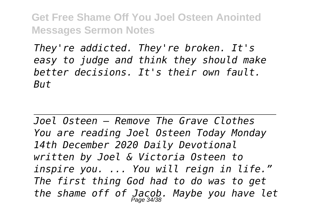*They're addicted. They're broken. It's easy to judge and think they should make better decisions. It's their own fault. But*

*Joel Osteen — Remove The Grave Clothes You are reading Joel Osteen Today Monday 14th December 2020 Daily Devotional written by Joel & Victoria Osteen to inspire you. ... You will reign in life." The first thing God had to do was to get the shame off of Jacob. Maybe you have let* Page 34/38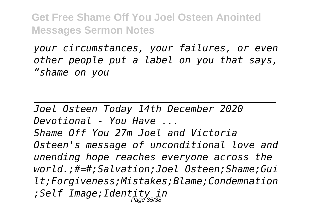*your circumstances, your failures, or even other people put a label on you that says, "shame on you*

*Joel Osteen Today 14th December 2020 Devotional - You Have ... Shame Off You 27m Joel and Victoria Osteen's message of unconditional love and unending hope reaches everyone across the world.;#=#;Salvation;Joel Osteen;Shame;Gui lt;Forgiveness;Mistakes;Blame;Condemnation ;Self Image;Identity in* Page 35/38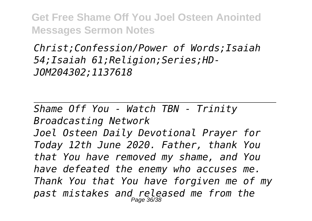*Christ;Confession/Power of Words;Isaiah 54;Isaiah 61;Religion;Series;HD-JOM204302;1137618*

*Shame Off You - Watch TBN - Trinity Broadcasting Network*

*Joel Osteen Daily Devotional Prayer for Today 12th June 2020. Father, thank You that You have removed my shame, and You have defeated the enemy who accuses me. Thank You that You have forgiven me of my past mistakes and released me from the* Page 36/38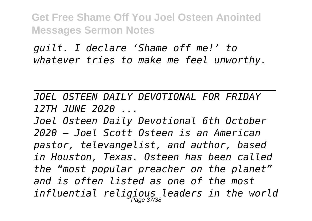*guilt. I declare 'Shame off me!' to whatever tries to make me feel unworthy.*

*JOEL OSTEEN DAILY DEVOTIONAL FOR FRIDAY 12TH JUNE 2020 ...*

*Joel Osteen Daily Devotional 6th October 2020 – Joel Scott Osteen is an American pastor, televangelist, and author, based in Houston, Texas. Osteen has been called the "most popular preacher on the planet" and is often listed as one of the most influential religious leaders in the world* Page 37/38